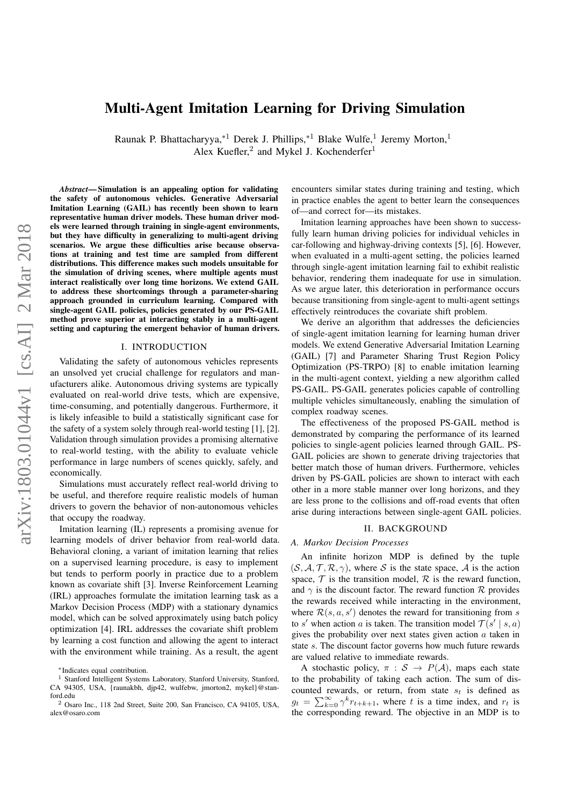# Multi-Agent Imitation Learning for Driving Simulation

Raunak P. Bhattacharyya,\*<sup>1</sup> Derek J. Phillips,\*<sup>1</sup> Blake Wulfe,<sup>1</sup> Jeremy Morton,<sup>1</sup> Alex Kuefler,<sup>2</sup> and Mykel J. Kochenderfer<sup>1</sup>

*Abstract*— Simulation is an appealing option for validating the safety of autonomous vehicles. Generative Adversarial Imitation Learning (GAIL) has recently been shown to learn representative human driver models. These human driver models were learned through training in single-agent environments, but they have difficulty in generalizing to multi-agent driving scenarios. We argue these difficulties arise because observations at training and test time are sampled from different distributions. This difference makes such models unsuitable for the simulation of driving scenes, where multiple agents must interact realistically over long time horizons. We extend GAIL to address these shortcomings through a parameter-sharing approach grounded in curriculum learning. Compared with single-agent GAIL policies, policies generated by our PS-GAIL method prove superior at interacting stably in a multi-agent setting and capturing the emergent behavior of human drivers.

#### I. INTRODUCTION

Validating the safety of autonomous vehicles represents an unsolved yet crucial challenge for regulators and manufacturers alike. Autonomous driving systems are typically evaluated on real-world drive tests, which are expensive, time-consuming, and potentially dangerous. Furthermore, it is likely infeasible to build a statistically significant case for the safety of a system solely through real-world testing [1], [2]. Validation through simulation provides a promising alternative to real-world testing, with the ability to evaluate vehicle performance in large numbers of scenes quickly, safely, and economically.

Simulations must accurately reflect real-world driving to be useful, and therefore require realistic models of human drivers to govern the behavior of non-autonomous vehicles that occupy the roadway.

Imitation learning (IL) represents a promising avenue for learning models of driver behavior from real-world data. Behavioral cloning, a variant of imitation learning that relies on a supervised learning procedure, is easy to implement but tends to perform poorly in practice due to a problem known as covariate shift [3]. Inverse Reinforcement Learning (IRL) approaches formulate the imitation learning task as a Markov Decision Process (MDP) with a stationary dynamics model, which can be solved approximately using batch policy optimization [4]. IRL addresses the covariate shift problem by learning a cost function and allowing the agent to interact with the environment while training. As a result, the agent

encounters similar states during training and testing, which in practice enables the agent to better learn the consequences of—and correct for—its mistakes.

Imitation learning approaches have been shown to successfully learn human driving policies for individual vehicles in car-following and highway-driving contexts [5], [6]. However, when evaluated in a multi-agent setting, the policies learned through single-agent imitation learning fail to exhibit realistic behavior, rendering them inadequate for use in simulation. As we argue later, this deterioration in performance occurs because transitioning from single-agent to multi-agent settings effectively reintroduces the covariate shift problem.

We derive an algorithm that addresses the deficiencies of single-agent imitation learning for learning human driver models. We extend Generative Adversarial Imitation Learning (GAIL) [7] and Parameter Sharing Trust Region Policy Optimization (PS-TRPO) [8] to enable imitation learning in the multi-agent context, yielding a new algorithm called PS-GAIL. PS-GAIL generates policies capable of controlling multiple vehicles simultaneously, enabling the simulation of complex roadway scenes.

The effectiveness of the proposed PS-GAIL method is demonstrated by comparing the performance of its learned policies to single-agent policies learned through GAIL. PS-GAIL policies are shown to generate driving trajectories that better match those of human drivers. Furthermore, vehicles driven by PS-GAIL policies are shown to interact with each other in a more stable manner over long horizons, and they are less prone to the collisions and off-road events that often arise during interactions between single-agent GAIL policies.

### II. BACKGROUND

### *A. Markov Decision Processes*

An infinite horizon MDP is defined by the tuple  $(S, A, T, R, \gamma)$ , where S is the state space, A is the action space,  $\mathcal T$  is the transition model,  $\mathcal R$  is the reward function, and  $\gamma$  is the discount factor. The reward function  $\mathcal R$  provides the rewards received while interacting in the environment, where  $\mathcal{R}(s, a, s')$  denotes the reward for transitioning from s to s' when action a is taken. The transition model  $\mathcal{T}(s' | s, a)$ gives the probability over next states given action  $\alpha$  taken in state s. The discount factor governs how much future rewards are valued relative to immediate rewards.

A stochastic policy,  $\pi : S \to P(A)$ , maps each state to the probability of taking each action. The sum of discounted rewards, or return, from state  $s_t$  is defined as  $g_t = \sum_{k=0}^{\infty} \gamma^k r_{t+k+1}$ , where t is a time index, and  $r_t$  is the corresponding reward. The objective in an MDP is to

<sup>∗</sup>Indicates equal contribution.

<sup>&</sup>lt;sup>1</sup> Stanford Intelligent Systems Laboratory, Stanford University, Stanford, CA 94305, USA, {raunakbh, djp42, wulfebw, jmorton2, mykel}@stanford.edu

<sup>2</sup> Osaro Inc., 118 2nd Street, Suite 200, San Francisco, CA 94105, USA, alex@osaro.com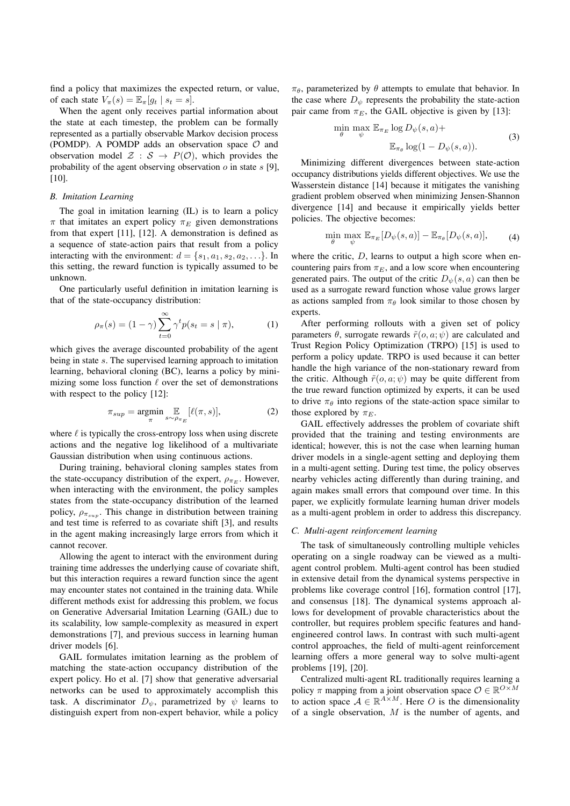find a policy that maximizes the expected return, or value, of each state  $V_{\pi}(s) = \mathbb{E}_{\pi}[g_t | s_t = s].$ 

When the agent only receives partial information about the state at each timestep, the problem can be formally represented as a partially observable Markov decision process (POMDP). A POMDP adds an observation space  $\mathcal O$  and observation model  $\mathcal{Z} : \mathcal{S} \to P(\mathcal{O})$ , which provides the probability of the agent observing observation  $\sigma$  in state  $s$  [9], [10].

# *B. Imitation Learning*

The goal in imitation learning (IL) is to learn a policy  $\pi$  that imitates an expert policy  $\pi_E$  given demonstrations from that expert [11], [12]. A demonstration is defined as a sequence of state-action pairs that result from a policy interacting with the environment:  $d = \{s_1, a_1, s_2, a_2, \ldots\}$ . In this setting, the reward function is typically assumed to be unknown.

One particularly useful definition in imitation learning is that of the state-occupancy distribution:

$$
\rho_{\pi}(s) = (1 - \gamma) \sum_{t=0}^{\infty} \gamma^t p(s_t = s \mid \pi), \tag{1}
$$

which gives the average discounted probability of the agent being in state s. The supervised learning approach to imitation learning, behavioral cloning (BC), learns a policy by minimizing some loss function  $\ell$  over the set of demonstrations with respect to the policy [12]:

$$
\pi_{sup} = \underset{\pi}{\text{argmin}} \underset{s \sim \rho_{\pi_E}}{\mathbb{E}} [\ell(\pi, s)], \tag{2}
$$

where  $\ell$  is typically the cross-entropy loss when using discrete actions and the negative log likelihood of a multivariate Gaussian distribution when using continuous actions.

During training, behavioral cloning samples states from the state-occupancy distribution of the expert,  $\rho_{\pi_E}$ . However, when interacting with the environment, the policy samples states from the state-occupancy distribution of the learned policy,  $\rho_{\pi_{sup}}$ . This change in distribution between training and test time is referred to as covariate shift [3], and results in the agent making increasingly large errors from which it cannot recover.

Allowing the agent to interact with the environment during training time addresses the underlying cause of covariate shift, but this interaction requires a reward function since the agent may encounter states not contained in the training data. While different methods exist for addressing this problem, we focus on Generative Adversarial Imitation Learning (GAIL) due to its scalability, low sample-complexity as measured in expert demonstrations [7], and previous success in learning human driver models [6].

GAIL formulates imitation learning as the problem of matching the state-action occupancy distribution of the expert policy. Ho et al. [7] show that generative adversarial networks can be used to approximately accomplish this task. A discriminator  $D_{\psi}$ , parametrized by  $\psi$  learns to distinguish expert from non-expert behavior, while a policy

 $\pi_{\theta}$ , parameterized by  $\theta$  attempts to emulate that behavior. In the case where  $D_{\psi}$  represents the probability the state-action pair came from  $\pi_E$ , the GAIL objective is given by [13]:

$$
\min_{\theta} \max_{\psi} \mathbb{E}_{\pi_E} \log D_{\psi}(s, a) +
$$
  

$$
\mathbb{E}_{\pi_{\theta}} \log(1 - D_{\psi}(s, a)).
$$
 (3)

Minimizing different divergences between state-action occupancy distributions yields different objectives. We use the Wasserstein distance [14] because it mitigates the vanishing gradient problem observed when minimizing Jensen-Shannon divergence [14] and because it empirically yields better policies. The objective becomes:

$$
\min_{\theta} \max_{\psi} \mathbb{E}_{\pi_E}[D_{\psi}(s, a)] - \mathbb{E}_{\pi_{\theta}}[D_{\psi}(s, a)], \tag{4}
$$

where the critic,  $D$ , learns to output a high score when encountering pairs from  $\pi_E$ , and a low score when encountering generated pairs. The output of the critic  $D_{\psi}(s, a)$  can then be used as a surrogate reward function whose value grows larger as actions sampled from  $\pi_{\theta}$  look similar to those chosen by experts.

After performing rollouts with a given set of policy parameters  $\theta$ , surrogate rewards  $\tilde{r}(o, a; \psi)$  are calculated and Trust Region Policy Optimization (TRPO) [15] is used to perform a policy update. TRPO is used because it can better handle the high variance of the non-stationary reward from the critic. Although  $\tilde{r}(o, a; \psi)$  may be quite different from the true reward function optimized by experts, it can be used to drive  $\pi_{\theta}$  into regions of the state-action space similar to those explored by  $\pi_E$ .

GAIL effectively addresses the problem of covariate shift provided that the training and testing environments are identical; however, this is not the case when learning human driver models in a single-agent setting and deploying them in a multi-agent setting. During test time, the policy observes nearby vehicles acting differently than during training, and again makes small errors that compound over time. In this paper, we explicitly formulate learning human driver models as a multi-agent problem in order to address this discrepancy.

#### *C. Multi-agent reinforcement learning*

The task of simultaneously controlling multiple vehicles operating on a single roadway can be viewed as a multiagent control problem. Multi-agent control has been studied in extensive detail from the dynamical systems perspective in problems like coverage control [16], formation control [17], and consensus [18]. The dynamical systems approach allows for development of provable characteristics about the controller, but requires problem specific features and handengineered control laws. In contrast with such multi-agent control approaches, the field of multi-agent reinforcement learning offers a more general way to solve multi-agent problems [19], [20].

Centralized multi-agent RL traditionally requires learning a policy  $\pi$  mapping from a joint observation space  $\mathcal{O} \in \mathbb{R}^{O \times M}$ to action space  $A \in \mathbb{R}^{A \times M}$ . Here O is the dimensionality of a single observation,  $M$  is the number of agents, and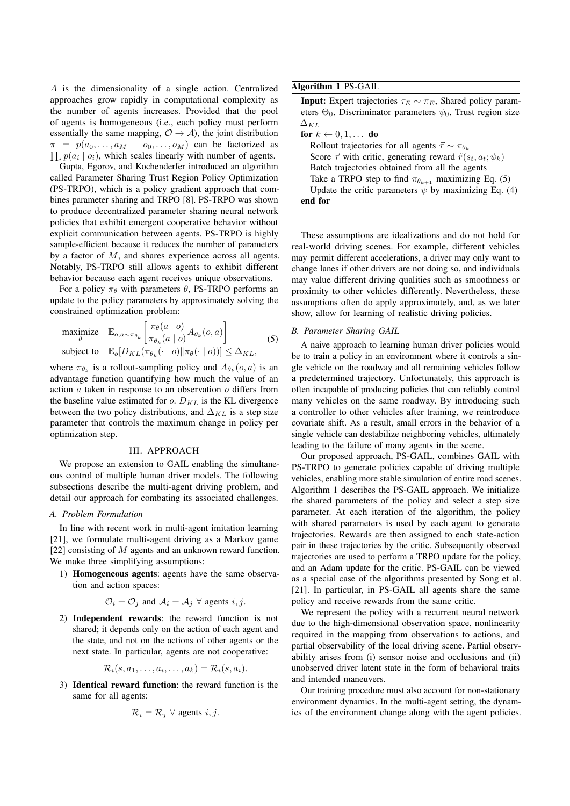A is the dimensionality of a single action. Centralized approaches grow rapidly in computational complexity as the number of agents increases. Provided that the pool of agents is homogeneous (i.e., each policy must perform essentially the same mapping,  $\mathcal{O} \rightarrow \mathcal{A}$ ), the joint distribution  $\pi = p(a_0, \ldots, a_M \mid o_0, \ldots, o_M)$  can be factorized as  $i_{i}p(a_{i} | o_{i})$ , which scales linearly with number of agents.

Gupta, Egorov, and Kochenderfer introduced an algorithm called Parameter Sharing Trust Region Policy Optimization (PS-TRPO), which is a policy gradient approach that combines parameter sharing and TRPO [8]. PS-TRPO was shown to produce decentralized parameter sharing neural network policies that exhibit emergent cooperative behavior without explicit communication between agents. PS-TRPO is highly sample-efficient because it reduces the number of parameters by a factor of M, and shares experience across all agents. Notably, PS-TRPO still allows agents to exhibit different behavior because each agent receives unique observations.

For a policy  $\pi_{\theta}$  with parameters  $\theta$ , PS-TRPO performs an update to the policy parameters by approximately solving the constrained optimization problem:

$$
\begin{array}{ll}\text{maximize} & \mathbb{E}_{o,a \sim \pi_{\theta_k}} \left[ \frac{\pi_{\theta}(a \mid o)}{\pi_{\theta_k}(a \mid o)} A_{\theta_k}(o, a) \right] \\ \text{subject to} & \mathbb{E}_o[D_{KL}(\pi_{\theta_k}(\cdot \mid o) \| \pi_{\theta}(\cdot \mid o))] \leq \Delta_{KL}, \end{array} \tag{5}
$$

where  $\pi_{\theta_k}$  is a rollout-sampling policy and  $A_{\theta_k}(o, a)$  is an advantage function quantifying how much the value of an action  $a$  taken in response to an observation  $o$  differs from the baseline value estimated for  $o$ .  $D_{KL}$  is the KL divergence between the two policy distributions, and  $\Delta_{KL}$  is a step size parameter that controls the maximum change in policy per optimization step.

#### III. APPROACH

We propose an extension to GAIL enabling the simultaneous control of multiple human driver models. The following subsections describe the multi-agent driving problem, and detail our approach for combating its associated challenges.

#### *A. Problem Formulation*

In line with recent work in multi-agent imitation learning [21], we formulate multi-agent driving as a Markov game [22] consisting of M agents and an unknown reward function. We make three simplifying assumptions:

1) Homogeneous agents: agents have the same observation and action spaces:

$$
\mathcal{O}_i = \mathcal{O}_j
$$
 and  $\mathcal{A}_i = \mathcal{A}_j \ \forall$  agents  $i, j$ .

2) Independent rewards: the reward function is not shared; it depends only on the action of each agent and the state, and not on the actions of other agents or the next state. In particular, agents are not cooperative:

$$
\mathcal{R}_i(s, a_1, \ldots, a_i, \ldots, a_k) = \mathcal{R}_i(s, a_i).
$$

3) Identical reward function: the reward function is the same for all agents:

$$
\mathcal{R}_i = \mathcal{R}_j \ \forall \text{ agents } i, j.
$$

Algorithm 1 PS-GAIL

| <b>Input:</b> Expert trajectories $\tau_E \sim \pi_E$ , Shared policy param-    |
|---------------------------------------------------------------------------------|
| eters $\Theta_0$ , Discriminator parameters $\psi_0$ , Trust region size        |
| $\Delta_{KI}$                                                                   |
| for $k \leftarrow 0, 1, \ldots$ do                                              |
| Rollout trajectories for all agents $\vec{\tau} \sim \pi_{\theta_k}$            |
| Score $\vec{\tau}$ with critic, generating reward $\tilde{r}(s_t, a_t; \psi_k)$ |
| Batch trajectories obtained from all the agents                                 |
| Take a TRPO step to find $\pi_{\theta_{k+1}}$ maximizing Eq. (5)                |
| Update the critic parameters $\psi$ by maximizing Eq. (4)                       |
| end for                                                                         |

These assumptions are idealizations and do not hold for real-world driving scenes. For example, different vehicles may permit different accelerations, a driver may only want to change lanes if other drivers are not doing so, and individuals may value different driving qualities such as smoothness or proximity to other vehicles differently. Nevertheless, these assumptions often do apply approximately, and, as we later show, allow for learning of realistic driving policies.

### *B. Parameter Sharing GAIL*

A naive approach to learning human driver policies would be to train a policy in an environment where it controls a single vehicle on the roadway and all remaining vehicles follow a predetermined trajectory. Unfortunately, this approach is often incapable of producing policies that can reliably control many vehicles on the same roadway. By introducing such a controller to other vehicles after training, we reintroduce covariate shift. As a result, small errors in the behavior of a single vehicle can destabilize neighboring vehicles, ultimately leading to the failure of many agents in the scene.

Our proposed approach, PS-GAIL, combines GAIL with PS-TRPO to generate policies capable of driving multiple vehicles, enabling more stable simulation of entire road scenes. Algorithm 1 describes the PS-GAIL approach. We initialize the shared parameters of the policy and select a step size parameter. At each iteration of the algorithm, the policy with shared parameters is used by each agent to generate trajectories. Rewards are then assigned to each state-action pair in these trajectories by the critic. Subsequently observed trajectories are used to perform a TRPO update for the policy, and an Adam update for the critic. PS-GAIL can be viewed as a special case of the algorithms presented by Song et al. [21]. In particular, in PS-GAIL all agents share the same policy and receive rewards from the same critic.

We represent the policy with a recurrent neural network due to the high-dimensional observation space, nonlinearity required in the mapping from observations to actions, and partial observability of the local driving scene. Partial observability arises from (i) sensor noise and occlusions and (ii) unobserved driver latent state in the form of behavioral traits and intended maneuvers.

Our training procedure must also account for non-stationary environment dynamics. In the multi-agent setting, the dynamics of the environment change along with the agent policies.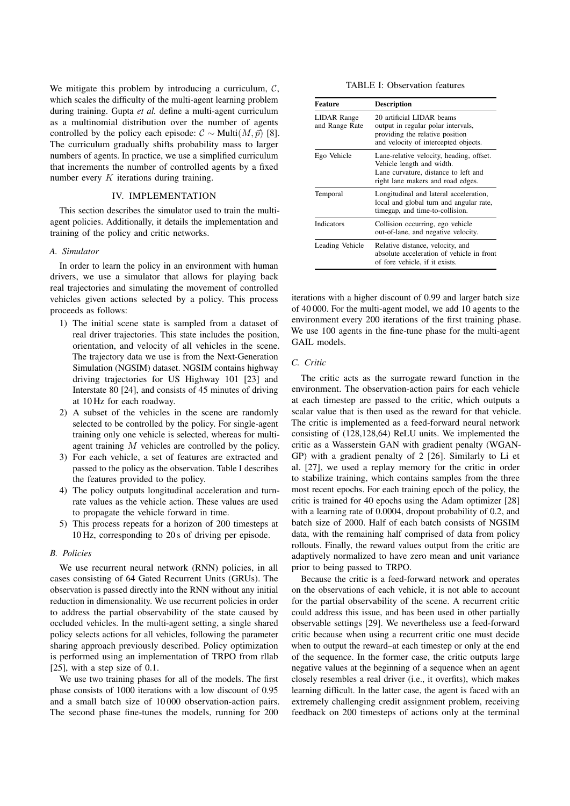We mitigate this problem by introducing a curriculum,  $C$ , which scales the difficulty of the multi-agent learning problem during training. Gupta *et al.* define a multi-agent curriculum as a multinomial distribution over the number of agents controlled by the policy each episode:  $\mathcal{C} \sim \text{Multi}(M, \vec{p})$  [8]. The curriculum gradually shifts probability mass to larger numbers of agents. In practice, we use a simplified curriculum that increments the number of controlled agents by a fixed number every  $K$  iterations during training.

# IV. IMPLEMENTATION

This section describes the simulator used to train the multiagent policies. Additionally, it details the implementation and training of the policy and critic networks.

# *A. Simulator*

In order to learn the policy in an environment with human drivers, we use a simulator that allows for playing back real trajectories and simulating the movement of controlled vehicles given actions selected by a policy. This process proceeds as follows:

- 1) The initial scene state is sampled from a dataset of real driver trajectories. This state includes the position, orientation, and velocity of all vehicles in the scene. The trajectory data we use is from the Next-Generation Simulation (NGSIM) dataset. NGSIM contains highway driving trajectories for US Highway 101 [23] and Interstate 80 [24], and consists of 45 minutes of driving at 10 Hz for each roadway.
- 2) A subset of the vehicles in the scene are randomly selected to be controlled by the policy. For single-agent training only one vehicle is selected, whereas for multiagent training M vehicles are controlled by the policy.
- 3) For each vehicle, a set of features are extracted and passed to the policy as the observation. Table I describes the features provided to the policy.
- 4) The policy outputs longitudinal acceleration and turnrate values as the vehicle action. These values are used to propagate the vehicle forward in time.
- 5) This process repeats for a horizon of 200 timesteps at 10 Hz, corresponding to 20 s of driving per episode.

### *B. Policies*

We use recurrent neural network (RNN) policies, in all cases consisting of 64 Gated Recurrent Units (GRUs). The observation is passed directly into the RNN without any initial reduction in dimensionality. We use recurrent policies in order to address the partial observability of the state caused by occluded vehicles. In the multi-agent setting, a single shared policy selects actions for all vehicles, following the parameter sharing approach previously described. Policy optimization is performed using an implementation of TRPO from rllab [25], with a step size of 0.1.

We use two training phases for all of the models. The first phase consists of 1000 iterations with a low discount of 0.95 and a small batch size of 10 000 observation-action pairs. The second phase fine-tunes the models, running for 200

TABLE I: Observation features

| <b>Feature</b>                       | <b>Description</b>                                                                                                                                 |
|--------------------------------------|----------------------------------------------------------------------------------------------------------------------------------------------------|
| <b>LIDAR</b> Range<br>and Range Rate | 20 artificial LIDAR beams<br>output in regular polar intervals,<br>providing the relative position<br>and velocity of intercepted objects.         |
| Ego Vehicle                          | Lane-relative velocity, heading, offset.<br>Vehicle length and width.<br>Lane curvature, distance to left and<br>right lane makers and road edges. |
| Temporal                             | Longitudinal and lateral acceleration,<br>local and global turn and angular rate,<br>timegap, and time-to-collision.                               |
| Indicators                           | Collision occurring, ego vehicle<br>out-of-lane, and negative velocity.                                                                            |
| Leading Vehicle                      | Relative distance, velocity, and<br>absolute acceleration of vehicle in front<br>of fore vehicle, if it exists.                                    |

iterations with a higher discount of 0.99 and larger batch size of 40 000. For the multi-agent model, we add 10 agents to the environment every 200 iterations of the first training phase. We use 100 agents in the fine-tune phase for the multi-agent GAIL models.

# *C. Critic*

The critic acts as the surrogate reward function in the environment. The observation-action pairs for each vehicle at each timestep are passed to the critic, which outputs a scalar value that is then used as the reward for that vehicle. The critic is implemented as a feed-forward neural network consisting of (128,128,64) ReLU units. We implemented the critic as a Wasserstein GAN with gradient penalty (WGAN-GP) with a gradient penalty of 2 [26]. Similarly to Li et al. [27], we used a replay memory for the critic in order to stabilize training, which contains samples from the three most recent epochs. For each training epoch of the policy, the critic is trained for 40 epochs using the Adam optimizer [28] with a learning rate of 0.0004, dropout probability of 0.2, and batch size of 2000. Half of each batch consists of NGSIM data, with the remaining half comprised of data from policy rollouts. Finally, the reward values output from the critic are adaptively normalized to have zero mean and unit variance prior to being passed to TRPO.

Because the critic is a feed-forward network and operates on the observations of each vehicle, it is not able to account for the partial observability of the scene. A recurrent critic could address this issue, and has been used in other partially observable settings [29]. We nevertheless use a feed-forward critic because when using a recurrent critic one must decide when to output the reward–at each timestep or only at the end of the sequence. In the former case, the critic outputs large negative values at the beginning of a sequence when an agent closely resembles a real driver (i.e., it overfits), which makes learning difficult. In the latter case, the agent is faced with an extremely challenging credit assignment problem, receiving feedback on 200 timesteps of actions only at the terminal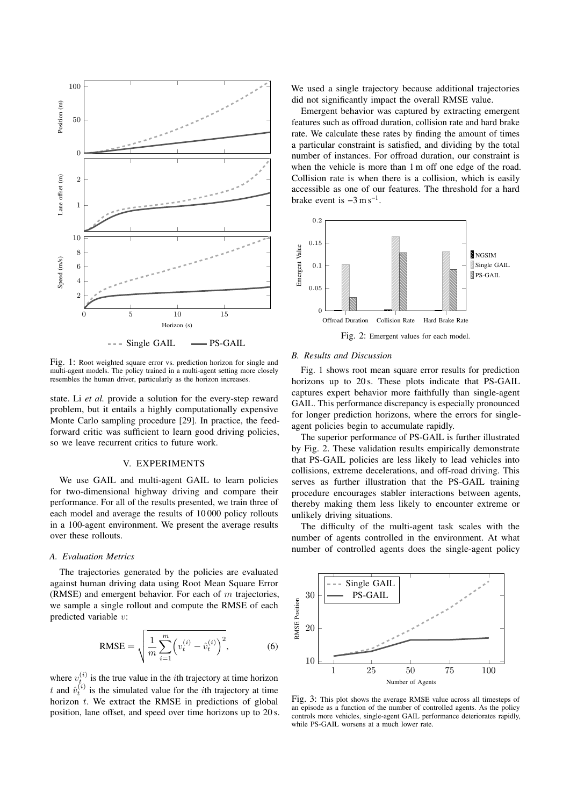

Fig. 1: Root weighted square error vs. prediction horizon for single and multi-agent models. The policy trained in a multi-agent setting more closely resembles the human driver, particularly as the horizon increases.

state. Li *et al.* provide a solution for the every-step reward problem, but it entails a highly computationally expensive Monte Carlo sampling procedure [29]. In practice, the feedforward critic was sufficient to learn good driving policies, so we leave recurrent critics to future work.

# V. EXPERIMENTS

We use GAIL and multi-agent GAIL to learn policies for two-dimensional highway driving and compare their performance. For all of the results presented, we train three of each model and average the results of 10 000 policy rollouts in a 100-agent environment. We present the average results over these rollouts.

# *A. Evaluation Metrics*

The trajectories generated by the policies are evaluated against human driving data using Root Mean Square Error (RMSE) and emergent behavior. For each of  $m$  trajectories, we sample a single rollout and compute the RMSE of each predicted variable v:

RMSE = 
$$
\sqrt{\frac{1}{m} \sum_{i=1}^{m} \left( v_t^{(i)} - \hat{v}_t^{(i)} \right)^2},
$$
 (6)

where  $v_{t_{\alpha}}^{(i)}$  is the true value in the *i*th trajectory at time horizon t and  $\hat{v}_t^{(i)}$  is the simulated value for the *i*th trajectory at time horizon  $t$ . We extract the RMSE in predictions of global position, lane offset, and speed over time horizons up to 20 s. We used a single trajectory because additional trajectories did not significantly impact the overall RMSE value.

Emergent behavior was captured by extracting emergent features such as offroad duration, collision rate and hard brake rate. We calculate these rates by finding the amount of times a particular constraint is satisfied, and dividing by the total number of instances. For offroad duration, our constraint is when the vehicle is more than 1 m off one edge of the road. Collision rate is when there is a collision, which is easily accessible as one of our features. The threshold for a hard brake event is  $-3 \text{ m s}^{-1}$ .



Fig. 2: Emergent values for each model.

### *B. Results and Discussion*

Fig. 1 shows root mean square error results for prediction horizons up to 20 s. These plots indicate that PS-GAIL captures expert behavior more faithfully than single-agent GAIL. This performance discrepancy is especially pronounced for longer prediction horizons, where the errors for singleagent policies begin to accumulate rapidly.

The superior performance of PS-GAIL is further illustrated by Fig. 2. These validation results empirically demonstrate that PS-GAIL policies are less likely to lead vehicles into collisions, extreme decelerations, and off-road driving. This serves as further illustration that the PS-GAIL training procedure encourages stabler interactions between agents, thereby making them less likely to encounter extreme or unlikely driving situations.

The difficulty of the multi-agent task scales with the number of agents controlled in the environment. At what number of controlled agents does the single-agent policy



Fig. 3: This plot shows the average RMSE value across all timesteps of an episode as a function of the number of controlled agents. As the policy controls more vehicles, single-agent GAIL performance deteriorates rapidly, while PS-GAIL worsens at a much lower rate.